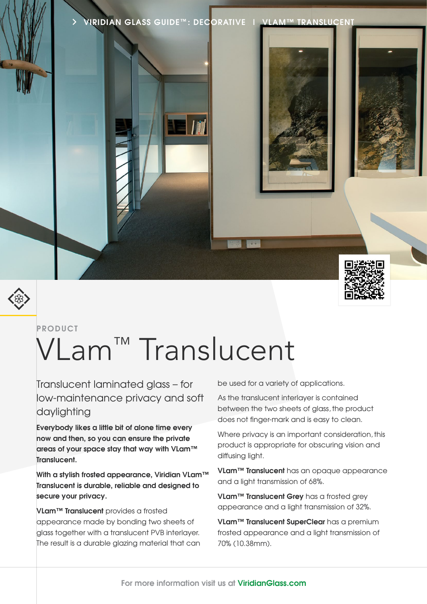**VIRIDIAN GLASS GUIDE™ : DECORATIVE | VLAM™ TRANSLUCENT**



#### **PRODUCT**

# VLam<sup>™</sup> Translucent

Translucent laminated glass – for low-maintenance privacy and soft daylighting

**Everybody likes a little bit of alone time every now and then, so you can ensure the private areas of your space stay that way with VLam™ Translucent.**

**With a stylish frosted appearance, Viridian VLam™ Translucent is durable, reliable and designed to secure your privacy.**

**VLam™ Translucent** provides a frosted appearance made by bonding two sheets of glass together with a translucent PVB interlayer. The result is a durable glazing material that can be used for a variety of applications.

As the translucent interlayer is contained between the two sheets of glass, the product does not finger-mark and is easy to clean.

Where privacy is an important consideration, this product is appropriate for obscuring vision and diffusing light.

**VLam™ Translucent** has an opaque appearance and a light transmission of 68%.

**VLam™ Translucent Grey** has a frosted grey appearance and a light transmission of 32%.

**VLam™ Translucent SuperClear** has a premium frosted appearance and a light transmission of 70% (10.38mm).